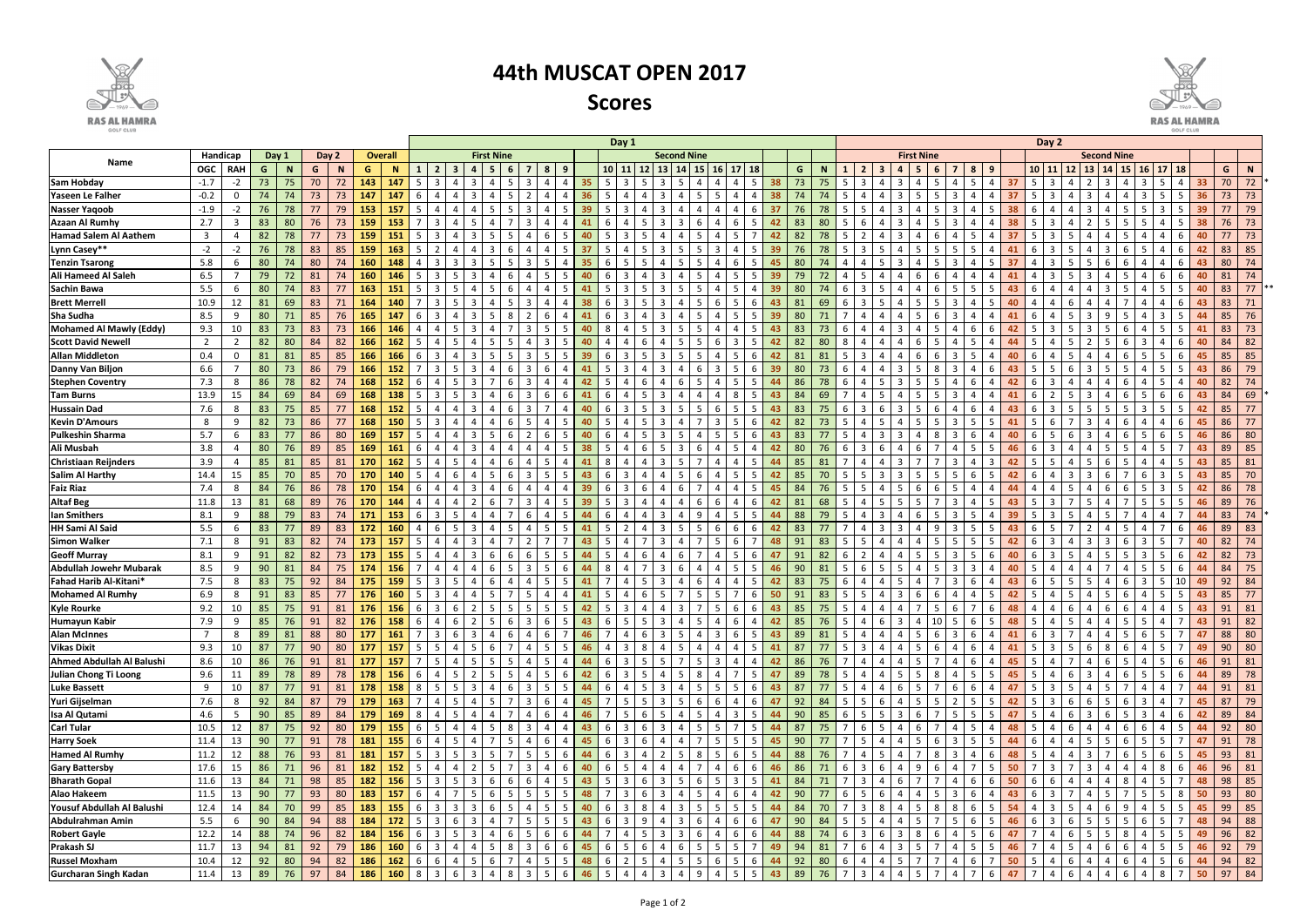|                                    |                                              |            |    |     |    |     |            |             |                                         | Day 1                                                             |         |     |   |          |    |       |                |                                |             |                       |                         | Day 2 |           |                   |                      |                         |                                  |     |                    |                     |    |    |         |   |    |                |           |                |                           |    |    |    |
|------------------------------------|----------------------------------------------|------------|----|-----|----|-----|------------|-------------|-----------------------------------------|-------------------------------------------------------------------|---------|-----|---|----------|----|-------|----------------|--------------------------------|-------------|-----------------------|-------------------------|-------|-----------|-------------------|----------------------|-------------------------|----------------------------------|-----|--------------------|---------------------|----|----|---------|---|----|----------------|-----------|----------------|---------------------------|----|----|----|
|                                    | Handicap<br>Day 1<br>Day 2<br><b>Overall</b> |            |    |     |    |     |            |             | <b>First Nine</b><br><b>Second Nine</b> |                                                                   |         |     |   |          |    |       |                |                                |             |                       |                         |       |           | <b>First Nine</b> |                      |                         |                                  |     | <b>Second Nine</b> |                     |    |    |         |   |    |                |           |                |                           |    |    |    |
| Name                               | <b>OGC</b>                                   | <b>RAH</b> | G  | - N | G  |     | G          | $\mathbf N$ |                                         |                                                                   |         |     |   |          |    | 10 11 |                | <b>13</b><br>12                | 14          |                       | 17                      | 18    | G         |                   |                      |                         |                                  |     |                    | 8                   | -9 |    | 10   11 |   | 13 |                | <b>15</b> | $16$   17      |                           |    | G  | N  |
| <b>Sam Hobday</b>                  | $-1.7$                                       | -2         | 73 | 75  | 70 |     | 143        | 147         |                                         |                                                                   |         |     |   |          |    |       |                |                                |             |                       |                         |       |           |                   |                      |                         |                                  |     |                    |                     |    |    |         |   |    |                |           |                |                           |    | 70 | 72 |
| Yaseen Le Falher                   | $-0.2$                                       |            | 74 | 74  | 73 | 73  | 147        | 147         |                                         |                                                                   |         |     |   |          |    |       |                |                                |             |                       |                         |       |           |                   |                      |                         |                                  |     |                    |                     |    |    |         |   |    |                |           |                |                           |    | 73 | 73 |
| <b>Nasser Yaqoob</b>               | $-1.9$                                       | $-2$       | 76 | 78  | 77 | 79  | 153        | 157         |                                         |                                                                   |         |     |   |          | 39 |       |                |                                |             |                       |                         |       |           |                   |                      |                         |                                  |     |                    |                     |    |    |         |   |    |                |           |                |                           | 39 |    | 79 |
| <b>Azaan Al Rumhy</b>              | 2.7                                          | -3         | 83 | 80  | 76 | 73  | 159        | 153         |                                         |                                                                   |         |     |   |          |    |       |                |                                |             |                       | 6                       |       | 83        | 80                |                      |                         |                                  |     |                    |                     |    |    |         |   |    |                |           |                |                           |    | 76 | 73 |
| <b>Hamad Salem Al Aathem</b>       | $\overline{3}$                               | 4          | 82 | 78  | 77 | 73  | 159        | 151         |                                         |                                                                   |         |     |   |          |    |       |                |                                |             |                       | 5                       |       | 82        | 78                |                      |                         |                                  |     |                    |                     |    |    |         |   |    |                |           |                |                           |    |    | 73 |
| Lynn Casey**                       | $-2$                                         | $-2$       | 76 | 78  | 83 | 85  | 159        | 163         |                                         |                                                                   |         |     |   |          |    |       |                |                                |             |                       |                         |       | 76        | 78                |                      |                         |                                  |     |                    |                     |    |    |         |   |    |                |           |                |                           |    | 83 | 85 |
| <b>Tenzin Tsarong</b>              | 5.8                                          | 6          | 80 | 74  | 80 |     | 160        | 148         |                                         |                                                                   |         |     |   |          |    |       |                |                                |             |                       |                         |       |           |                   |                      |                         |                                  |     |                    |                     |    |    |         |   |    |                |           |                |                           |    | 80 | 74 |
| <b>Ali Hameed Al Saleh</b>         | 6.5                                          |            | 79 | 72  | 81 |     | 160        | 146         |                                         |                                                                   |         |     |   |          |    |       |                |                                |             |                       |                         |       |           |                   |                      |                         |                                  |     |                    |                     |    |    |         |   |    |                |           |                |                           |    | 81 | 74 |
| <b>Sachin Bawa</b>                 | 5.5                                          | 6          | 80 | 74  | 83 |     | 163        | 151         |                                         |                                                                   |         |     |   |          |    |       |                |                                |             |                       |                         |       | 80        |                   |                      |                         |                                  |     |                    |                     |    |    |         |   |    |                |           |                |                           |    | 83 | 77 |
| <b>Brett Merrell</b>               | 10.9                                         | 12         | 81 | 69  | 83 |     | 164        | 140         |                                         |                                                                   |         |     |   |          |    |       |                |                                |             |                       |                         |       | -81       |                   |                      |                         |                                  |     |                    |                     |    |    |         |   |    |                |           |                |                           | 43 | 83 | 71 |
| Sha Sudha                          | 8.5                                          | 9          | 80 | 71  | 85 | 76  | 165        | 147         |                                         |                                                                   |         |     |   |          |    |       |                |                                |             |                       |                         |       | 80        |                   |                      |                         |                                  |     |                    |                     |    |    |         |   |    |                |           |                |                           |    | 85 | 76 |
| Mohamed Al Mawly (Eddy)            | 9.3                                          | 10         | 83 | 73  | 83 | 73  | 166        | 146         |                                         |                                                                   |         |     |   |          |    |       |                |                                |             |                       |                         |       | 83        | 73                |                      |                         |                                  |     |                    | 6                   |    |    |         |   |    |                |           |                |                           |    | 83 | 73 |
| <b>Scott David Newell</b>          | 2                                            | 2          | 82 | 80  | 84 | 82  | 166        | 162         |                                         |                                                                   |         |     |   |          |    |       |                |                                |             |                       |                         |       |           |                   |                      |                         |                                  |     |                    |                     |    |    |         |   |    |                |           |                |                           | 40 | 84 | 82 |
| <b>Allan Middleton</b>             | 0.4                                          | 0          | 81 | 81  | 85 | 85  | 166        | 166         |                                         |                                                                   |         |     |   |          |    |       |                |                                |             |                       |                         |       |           |                   |                      |                         |                                  |     |                    |                     |    |    |         |   |    |                |           |                |                           | 45 | 85 | 85 |
| Danny Van Biljon                   | 6.6                                          |            | 80 | 73  | 86 | 79  | 166        | 152         |                                         |                                                                   |         |     |   |          |    |       |                |                                |             |                       |                         |       | 80        |                   |                      |                         |                                  |     |                    |                     |    |    |         |   |    |                |           |                |                           | 43 | 86 | 79 |
| <b>Stephen Coventry</b>            | 7.3                                          | 8          | 86 | 78  | 82 | 74  | 168        | 152         |                                         |                                                                   |         |     |   |          |    |       |                |                                |             |                       | 5.                      |       | 86        |                   |                      |                         |                                  |     |                    | 6                   |    |    |         |   |    |                |           |                |                           | 40 | 82 | 74 |
| <b>Tam Burns</b>                   | 13.9                                         | 15         | 84 | 69  | 84 | 69  | 168        | 138         |                                         |                                                                   |         |     |   |          |    |       |                | 3                              |             |                       | 8                       |       | -84<br>43 | 69                |                      |                         |                                  |     |                    | 4                   |    |    |         |   |    |                |           |                |                           | 43 | 84 | 69 |
| <b>Hussain Dad</b>                 | 7.6                                          | 8          | 83 | 75  | 85 |     | 168        | 152         |                                         |                                                                   |         |     |   |          |    | -6    |                |                                |             |                       |                         |       | -83       |                   |                      |                         |                                  |     |                    | 6                   |    |    |         |   |    |                |           |                |                           | 42 | 85 | 77 |
| <b>Kevin D'Amours</b>              | 8                                            | -9         | 82 | 73  | 86 |     | 168        | 150         |                                         |                                                                   |         |     |   |          |    |       |                |                                |             |                       | 5                       |       |           |                   |                      |                         |                                  |     |                    | 5                   |    |    |         |   |    |                |           |                |                           |    | 86 | 77 |
| <b>Pulkeshin Sharma</b>            | 5.7                                          | 6          | 83 | 77  | 86 | 80  | 169        | 157         |                                         |                                                                   |         |     |   |          |    |       |                |                                |             |                       | 5                       |       |           |                   |                      |                         |                                  |     |                    | 6                   |    |    |         |   |    |                |           |                |                           |    | 86 | 80 |
| Ali Musbah                         | 3.8                                          | -4         | 80 | 76  | 89 | 85  | 169        | 161         |                                         |                                                                   |         |     |   |          |    |       |                |                                |             |                       |                         |       |           |                   |                      |                         |                                  |     |                    |                     |    |    |         |   |    |                |           |                |                           | 43 | 89 | 85 |
| <b>Christiaan Reijnders</b>        | 3.9                                          | 4          | 85 | 81  | 85 | 81  | 170        |             |                                         |                                                                   |         |     |   |          |    |       |                |                                |             |                       |                         |       |           |                   |                      |                         |                                  |     |                    | 4                   |    |    |         |   |    |                |           |                |                           |    | 85 | 81 |
| <b>Salim Al Harthy</b>             | 14.4                                         | 15         | 85 |     | 85 | 70  | 170        | 140         |                                         |                                                                   |         |     |   |          |    | 6     |                |                                |             |                       | 5.                      |       | 85        |                   |                      |                         |                                  |     |                    | 6                   |    |    |         |   |    |                |           |                |                           |    | 85 | 70 |
| <b>Faiz Riaz</b>                   | 7.4                                          | -8         | 84 |     | 86 | 78  | 170        | 154         |                                         |                                                                   |         |     |   |          |    | 6     |                |                                |             |                       | 4                       |       | 84        |                   |                      |                         |                                  |     |                    | 4                   |    |    |         |   |    |                |           |                |                           |    | 86 | 78 |
| <b>Altaf Beg</b>                   | 11.8                                         | 13         | 81 | 68  | 89 | 76  | 170        | 144         |                                         |                                                                   |         |     |   |          |    |       | -3             |                                |             | 6                     | 4                       |       |           | 68                |                      |                         |                                  |     |                    | 4                   |    |    |         |   |    |                |           |                |                           |    | 89 | 76 |
| <b>Ian Smithers</b>                | 8.1                                          | 9          | 88 | 79  | 83 |     | 171        | 153         |                                         |                                                                   |         |     |   |          |    | 6     |                | 3                              | q           |                       | 5.                      |       | 88        |                   |                      |                         |                                  | 6   |                    | 5                   |    |    |         |   |    |                |           |                |                           |    | 83 | 74 |
| <b>HH Sami Al Said</b>             | 5.5                                          | 6          | 83 | 77  | 89 | 83  | 172        | 160         |                                         |                                                                   |         |     |   |          |    | -5    |                | 3                              |             | -5                    | 6                       | -6    | 83        |                   |                      |                         |                                  |     | q                  | 5                   |    |    |         |   |    |                |           |                | -6                        | 46 | 89 | 83 |
| <b>Simon Walker</b>                | 7.1                                          | 8          | 91 | 83  | 82 |     | 173        | 157         |                                         |                                                                   |         |     |   |          | 43 | -5    |                | 3                              | 4           |                       | 6                       |       | 91        | 83                |                      |                         |                                  |     |                    | 5                   |    |    |         |   |    |                |           | 3              |                           | 40 | 82 | 74 |
| <b>Geoff Murray</b>                | 8.1                                          | -9         | 91 | 82  | 82 | 73  | 173        | 155         |                                         |                                                                   |         |     |   | 5        | 44 | -5    |                | 6<br>4                         | -6          |                       | $5^{\circ}$             |       | 91        | 82                | -6                   |                         |                                  |     | -5                 | 5                   |    |    |         |   |    |                |           | 3              | 5<br>-6                   | 42 | 82 | 73 |
| <b>Abdullah Jowehr Mubarak</b>     | 8.5                                          | -9         | 90 | 81  | 84 | 75  | 174        | 156         |                                         |                                                                   |         |     |   |          | 44 | -8    |                | 3                              | 4           |                       | $5^{\circ}$             |       | 90<br>46  | 81                |                      |                         | .5                               |     |                    | 3                   |    | 40 |         |   |    |                |           |                | -5<br>-6                  | 44 | 84 | 75 |
| Fahad Harib Al-Kitani*             | 7.5                                          | -8         | 83 | 75  | 92 | 84  | 175        | 159         |                                         |                                                                   |         |     |   |          | 41 |       |                | 3                              | $\mathbf 4$ | 6                     | $\overline{\mathbf{A}}$ |       | 83<br>-42 | 75                |                      |                         |                                  |     |                    | 6                   |    | 43 |         |   |    |                |           |                |                           | 49 | 92 | 84 |
| <b>Mohamed Al Rumhy</b>            | 6.9                                          | -8         | 91 | 83  | 85 |     | 176        | 160         |                                         |                                                                   |         |     |   |          | 41 | -5    |                | 5                              |             |                       | $\overline{7}$          | -6    | 50<br>91  | 83                |                      |                         | 3                                | - 6 | -6                 | $\overline{4}$      |    | 42 |         |   |    |                |           |                | 5                         | 43 | 85 | 77 |
| <b>Kyle Rourke</b>                 | 9.2                                          | 10         | 85 | 75  | 91 | 81  | 176        | 156         | -6                                      |                                                                   |         |     |   |          | 42 |       |                |                                |             |                       | 6                       |       | 85<br>43  | 75                |                      |                         |                                  |     |                    |                     |    |    |         |   |    |                |           |                |                           | 43 | 91 | 81 |
| <b>Humayun Kabir</b>               | 7.9                                          | 9          | 85 | 76  | 91 | 82  | <b>176</b> | 158         | - 6                                     | $\overline{4}$<br>-6                                              | 2<br>-5 |     | 3 | -5<br>6  | 43 | -6    | - 5 I          | 3<br>51                        | -4          | 51<br>4               | 6                       | 4     | 85<br>42  | 76                | - 5                  | 4                       | 6<br>3                           | 4   |                    | 6                   | -5 | 48 | - 5     |   |    |                |           | 5              | 4                         | 43 | 91 | 82 |
| <b>Alan McInnes</b>                | $\overline{7}$                               | 8          | 89 | 81  | 88 | 80  | 177        | <b>161</b>  | 7                                       | $3 \mid 6 \mid 3$                                                 | 4       | - 6 | 4 | 6        | 46 |       | 4 I            | $\mathbf{3}$<br>6              | - 5         | $\overline{3}$<br>4 I | 6                       | 5     | 89<br>43  | 81                | - 5                  |                         | 4<br>4                           | 5   | -6                 | $\overline{3}$<br>6 |    | 41 | -6      |   | -4 | -4             |           | 6              | 5 <sup>5</sup>            | 47 | 88 | 80 |
| <b>Vikas Dixit</b>                 | 9.3                                          | 10         | 87 | 77  | 90 | 80  | 177        | 157         | -5                                      |                                                                   | -6      |     |   | 5.<br>-5 | 46 |       | $\cdot$ 3      | 8<br>4                         | -5          | 4<br>4                | 4                       | - 5   | 41<br>-87 | 77                | - 5                  |                         |                                  | -5  | -6                 | 6                   |    |    |         |   | -6 |                |           |                | 5                         | 49 | 90 | 80 |
| Ahmed Abdullah Al Balushi          | 8.6                                          | 10         | 86 | 76  | 91 | 81  | 177        | 157         |                                         |                                                                   |         |     |   |          | 44 | -6    | -3             | 5<br>-5                        |             | -5                    | 4                       |       | 86<br>42  | 76                |                      |                         |                                  | -5  |                    | 6                   |    | 45 |         |   |    |                |           | 4              | 5<br>- 6                  | 46 | 91 | 81 |
| Julian Chong Ti Loong              | 9.6                                          | 11         | 89 | 78  | 89 | 78  | 178        | 156         | -6                                      |                                                                   |         |     |   |          | 42 | -6    | -3             | .5.<br>4                       | -5          | -8                    | 7                       | -5    | 47<br>89  | 78                |                      |                         | 5                                | -5  |                    | 5                   |    | 45 |         |   |    |                |           | 5.             | 5<br>- 6                  | 44 | 89 | 78 |
| <b>Luke Bassett</b>                | 9                                            | 10         | 87 | 77  | 91 | 81  | 178        | 158         | -8                                      |                                                                   |         |     |   |          | 44 | -6    |                | 3                              | -4          |                       | 5                       | -6    | 43<br>87  | 77                |                      |                         | 6                                | -5  |                    | 6                   |    |    |         |   |    |                |           |                | 4                         | 44 | 91 | 81 |
| Yuri Gijselman                     | 7.6                                          | 8          | 92 | 84  | 87 | 79  | 179        | 163         |                                         |                                                                   |         |     |   |          | 45 |       |                | 3<br>5.                        | -5<br>-6    |                       | 4                       | -6    | 92<br>-47 | 84                |                      |                         |                                  |     |                    |                     |    |    |         |   |    |                |           | 3              | 4                         | 45 | 87 | 79 |
| Isa Al Qutami                      | 4.6                                          | -5         | 90 | 85  | 89 | 84  | 179        | 169         | -8                                      |                                                                   |         |     |   |          | 46 |       |                | 5                              | -4          |                       | 3                       | -5    | 90<br>44  | 85                | -6                   |                         |                                  |     |                    |                     |    |    |         |   |    |                |           | 3              | 6<br>4                    | 42 | 89 | 84 |
| <b>Carl Tular</b>                  | 10.5                                         | 12         | 87 | 75  | 92 | 80  | 179        | 155         | -6                                      |                                                                   |         |     |   |          | 43 | -6    | -3             | 3                              | -4          |                       | $\overline{7}$          | -5    | 87<br>44  |                   |                      |                         |                                  |     |                    |                     |    |    |         |   |    |                |           |                | -5<br>4                   | 44 | 92 | 80 |
| <b>Harry Soek</b>                  | 11.4                                         | 13         | 90 | 77  | 91 | 78  | 181        | 155         | -6                                      |                                                                   |         |     |   |          | 45 | 6     | -3             | 4                              | -4          |                       | 5                       |       | 90        |                   |                      |                         |                                  |     |                    |                     |    |    |         |   |    |                |           |                |                           | 47 | 91 | 78 |
| <b>Hamed Al Rumhy</b>              | 11.2                                         | 12         | 88 | 76  | 93 | -81 | 181        | 157         | -5                                      |                                                                   |         |     |   |          |    | 6     | -3             | $\mathcal{P}$                  | -5          |                       | 6                       |       | 88<br>44  |                   |                      |                         |                                  |     |                    |                     |    |    |         |   |    |                |           |                | 6<br>-5                   | 45 | 93 | 81 |
| <b>Gary Battersby</b>              | 17.6                                         | 15         | 86 | 71  | 96 | -81 | 182        | 152         |                                         |                                                                   |         |     |   |          |    | 6     |                | 4                              |             |                       | 6                       |       | 86        |                   |                      |                         |                                  |     |                    |                     |    |    |         |   |    |                |           |                | 8                         | 46 | 96 | 81 |
| <b>Bharath Gopal</b>               | 11.6                                         | 13         | 84 | 71  | 98 | 85  | 182        | 156         | -5                                      |                                                                   |         |     |   |          |    | -5    | -3             | 3                              |             |                       | 3                       |       |           |                   |                      |                         |                                  |     |                    |                     |    |    |         |   |    |                |           |                |                           | 48 | 98 | 85 |
| <b>Alao Hakeem</b>                 | 11.5                                         | 13         | 90 | 77  | 93 | 80  | 183        | 157         |                                         |                                                                   |         |     |   |          |    |       |                |                                |             |                       | 6                       |       | 90        |                   |                      |                         |                                  |     |                    |                     |    |    |         |   |    |                |           |                | 5<br>-8                   | 50 | 93 | 80 |
| Yousuf Abdullah Al Balushi         | 12.4<br>5.5                                  | 14         | 84 | 70  | 99 | 85  | 183        | 155         |                                         |                                                                   |         |     |   |          |    | 6     | -3             |                                | -3          |                       | 5                       |       |           |                   |                      |                         |                                  |     |                    |                     |    |    |         |   |    |                |           |                | -5                        | 45 | 99 | 85 |
| Abdulrahman Amin                   |                                              | 6          | 90 | 84  | 94 | 88  | 184        | 172         | -5                                      |                                                                   |         |     |   |          |    | -6    | -3             | 4                              | 3<br>-6     |                       | 6                       | -6    | 90        | 84                | -5                   |                         |                                  |     |                    | 6                   |    |    |         |   |    |                |           |                | 5                         | 48 | 94 | 88 |
| <b>Robert Gayle</b>                | 12.2                                         | 14         | 88 | 74  | 96 | 82  | 184        | 156         | -6<br>-3                                |                                                                   |         |     |   |          |    |       |                | 3                              | -3          | -6                    | 6<br>5                  | -6    | 88<br>44  |                   | -6                   |                         | 6<br>3                           | 8   |                    | 5                   |    |    |         |   |    |                |           |                | 5<br>-5<br>-5             | 49 | 96 | 82 |
| Prakash SJ<br><b>Russel Moxham</b> | 11.7                                         | 13         | 94 | 81  | 92 | 79  | 186        | 160         | -6<br>-3                                |                                                                   |         |     |   |          | 45 | 6     | -5             | 6<br>4                         | -6<br>-5    |                       |                         |       | 49<br>94  | 81                |                      |                         | 3<br>4                           | - 5 |                    | 5                   |    |    |         |   |    |                |           |                | 5                         | 46 | 92 | 79 |
|                                    | 10.4                                         | 12         | 92 | 80  | 94 | 82  | 186        | 162         | -6<br>- 6                               |                                                                   | 5<br>-6 |     |   | 5        | 48 | 6     | $\overline{2}$ | 5<br>$\overline{4}$            | - 5         | -5<br>6               | 5 <sub>5</sub>          | -6    | 92<br>44  | 80                | -6<br>$\overline{7}$ |                         | 5                                |     |                    | 6<br>4              |    | 50 | - 5     | 6 |    | 4              |           | 4              | 5<br>-6<br>$\overline{7}$ | 44 | 94 | 82 |
| <b>Gurcharan Singh Kadan</b>       | 11.4                                         | 13         | 89 | 76  | 97 | 84  | 186        | 160         | 8                                       | $\overline{\mathbf{3}}$<br>$\begin{array}{c c} 6 & 3 \end{array}$ | 4       | - 8 | 3 | 5<br>6   | 46 | 5     | -4             | $\mathbf{3}$<br>$\overline{4}$ | 4           | 9<br>4                | 5 <sub>1</sub>          | 5     | 89<br>43  | 76                |                      | $\overline{\mathbf{3}}$ | 4 <sup>1</sup><br>$\overline{4}$ | - 5 | -7                 | $\overline{7}$<br>4 | 6  | 47 |         | 6 | 4  | $\overline{4}$ | 6         | $\overline{4}$ | 8                         | 50 | 97 | 84 |



## 44th MUSCAT OPEN 2017

Scores



**RAS AL HAMRA**